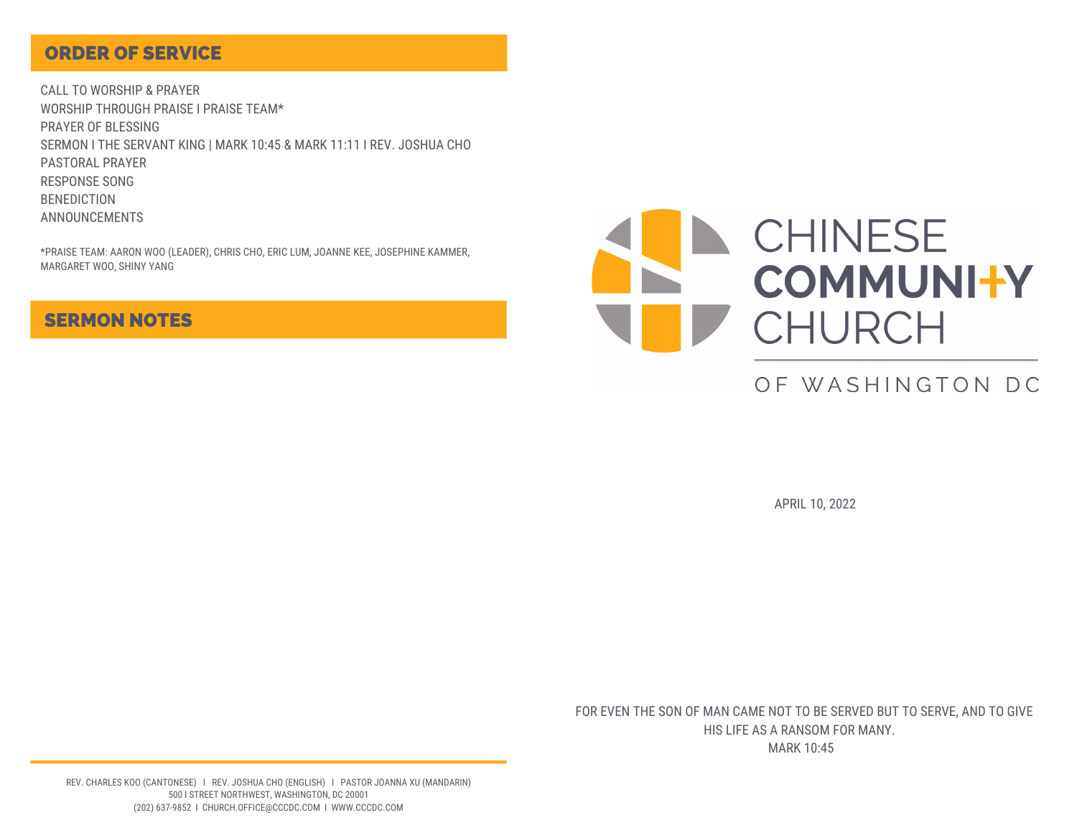### ORDER OF SERVICE

CALL TO WORSHIP & PRAYER WORSHIP THROUGH PRAISE I PRAISE TEAM\* PRAYER OF BLESSING SERMON I THE SERVANT KING | MARK 10:45 & MARK 11:11 I REV. JOSHUA CHO PASTORAL PRAYER RESPONSE SONG BENEDICTION ANNOUNCEMENTS

\*PRAISE TEAM: AARON WOO (LEADER), CHRIS CHO, ERIC LUM, JOANNE KEE, JOSEPHINE KAMMER, MARGARET WOO, SHINY YANG

### SERMON NOTES



# OF WASHINGTON DC

APRIL 10, 2022

FOR EVEN THE SON OF MAN CAME NOT TO BE SERVED BUT TO SERVE, AND TO GIVE HIS LIFE AS A RANSOM FOR MANY.

MARK 10:45

REV. CHARLES KOO (CANTONESE) I REV. JOSHUA CHO (ENGLISH) I PASTOR JOANNA XU (MANDARIN) 500 I STREET NORTHWEST, WASHINGTON, DC 20001 (202) 637-9852 I CHURCH.OFFICE@CCCDC.COM I WWW.CCCDC.COM